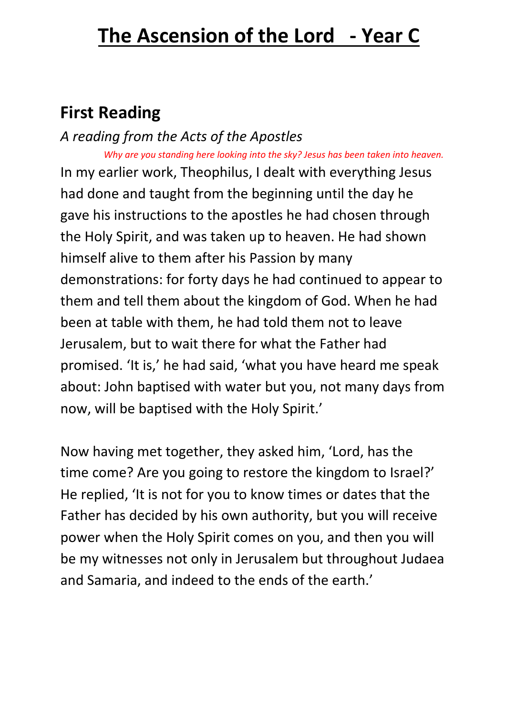# **First Reading**

*A reading from the Acts of the Apostles Why are you standing here looking into the sky? Jesus has been taken into heaven.*

In my earlier work, Theophilus, I dealt with everything Jesus had done and taught from the beginning until the day he gave his instructions to the apostles he had chosen through the Holy Spirit, and was taken up to heaven. He had shown himself alive to them after his Passion by many demonstrations: for forty days he had continued to appear to them and tell them about the kingdom of God. When he had been at table with them, he had told them not to leave Jerusalem, but to wait there for what the Father had promised. 'It is,' he had said, 'what you have heard me speak about: John baptised with water but you, not many days from now, will be baptised with the Holy Spirit.'

Now having met together, they asked him, 'Lord, has the time come? Are you going to restore the kingdom to Israel?' He replied, 'It is not for you to know times or dates that the Father has decided by his own authority, but you will receive power when the Holy Spirit comes on you, and then you will be my witnesses not only in Jerusalem but throughout Judaea and Samaria, and indeed to the ends of the earth.'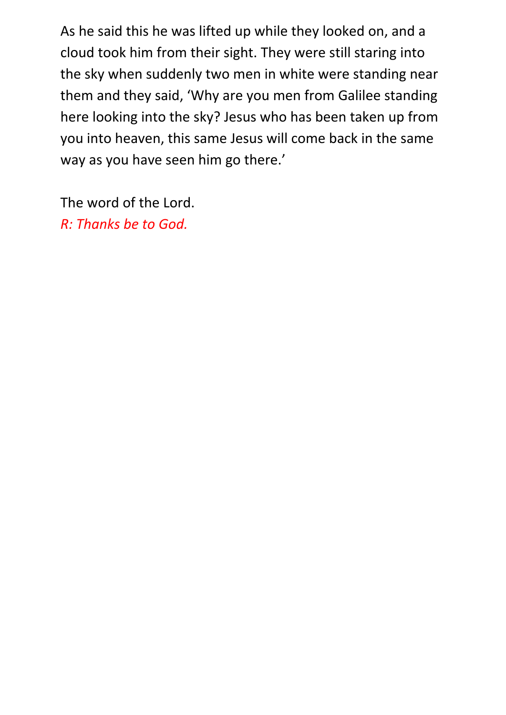As he said this he was lifted up while they looked on, and a cloud took him from their sight. They were still staring into the sky when suddenly two men in white were standing near them and they said, 'Why are you men from Galilee standing here looking into the sky? Jesus who has been taken up from you into heaven, this same Jesus will come back in the same way as you have seen him go there.'

The word of the Lord. *R: Thanks be to God.*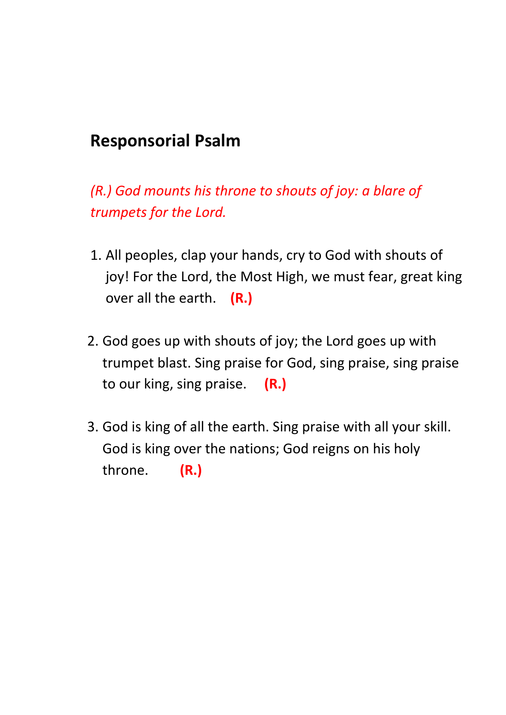## **Responsorial Psalm**

*(R.) God mounts his throne to shouts of joy: a blare of trumpets for the Lord.*

- 1. All peoples, clap your hands, cry to God with shouts of joy! For the Lord, the Most High, we must fear, great king over all the earth. **(R.)**
- 2. God goes up with shouts of joy; the Lord goes up with trumpet blast. Sing praise for God, sing praise, sing praise to our king, sing praise. **(R.)**
- 3. God is king of all the earth. Sing praise with all your skill. God is king over the nations; God reigns on his holy throne. **(R.)**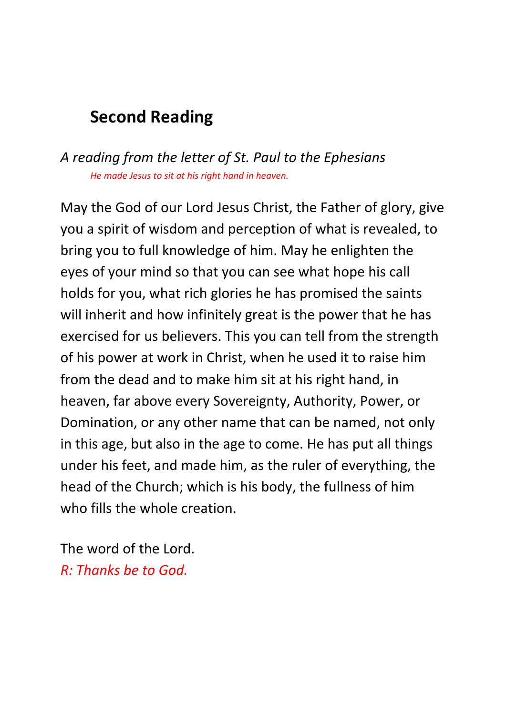## **Second Reading**

### *A reading from the letter of St. Paul to the Ephesians He made Jesus to sit at his right hand in heaven.*

May the God of our Lord Jesus Christ, the Father of glory, give you a spirit of wisdom and perception of what is revealed, to bring you to full knowledge of him. May he enlighten the eyes of your mind so that you can see what hope his call holds for you, what rich glories he has promised the saints will inherit and how infinitely great is the power that he has exercised for us believers. This you can tell from the strength of his power at work in Christ, when he used it to raise him from the dead and to make him sit at his right hand, in heaven, far above every Sovereignty, Authority, Power, or Domination, or any other name that can be named, not only in this age, but also in the age to come. He has put all things under his feet, and made him, as the ruler of everything, the head of the Church; which is his body, the fullness of him who fills the whole creation.

The word of the Lord. *R: Thanks be to God.*